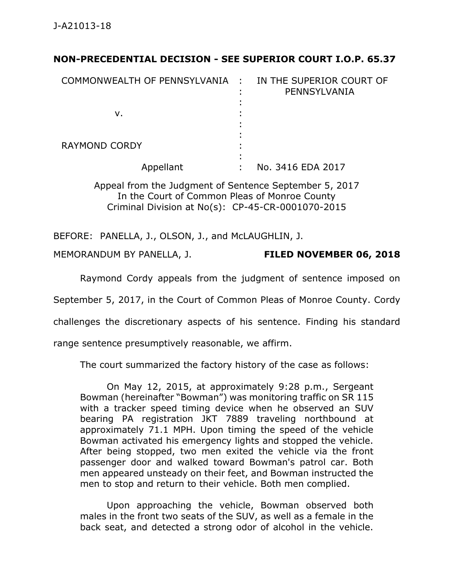## **NON-PRECEDENTIAL DECISION - SEE SUPERIOR COURT I.O.P. 65.37**

| COMMONWEALTH OF PENNSYLVANIA : |   | IN THE SUPERIOR COURT OF<br>PENNSYLVANIA |
|--------------------------------|---|------------------------------------------|
| v.                             |   |                                          |
| <b>RAYMOND CORDY</b>           |   |                                          |
| Appellant                      | ٠ | No. 3416 EDA 2017                        |

Appeal from the Judgment of Sentence September 5, 2017 In the Court of Common Pleas of Monroe County Criminal Division at No(s): CP-45-CR-0001070-2015

BEFORE: PANELLA, J., OLSON, J., and McLAUGHLIN, J.

MEMORANDUM BY PANELLA, J. **FILED NOVEMBER 06, 2018**

Raymond Cordy appeals from the judgment of sentence imposed on

September 5, 2017, in the Court of Common Pleas of Monroe County. Cordy

challenges the discretionary aspects of his sentence. Finding his standard

range sentence presumptively reasonable, we affirm.

The court summarized the factory history of the case as follows:

On May 12, 2015, at approximately 9:28 p.m., Sergeant Bowman (hereinafter "Bowman") was monitoring traffic on SR 115 with a tracker speed timing device when he observed an SUV bearing PA registration JKT 7889 traveling northbound at approximately 71.1 MPH. Upon timing the speed of the vehicle Bowman activated his emergency lights and stopped the vehicle. After being stopped, two men exited the vehicle via the front passenger door and walked toward Bowman's patrol car. Both men appeared unsteady on their feet, and Bowman instructed the men to stop and return to their vehicle. Both men complied.

Upon approaching the vehicle, Bowman observed both males in the front two seats of the SUV, as well as a female in the back seat, and detected a strong odor of alcohol in the vehicle.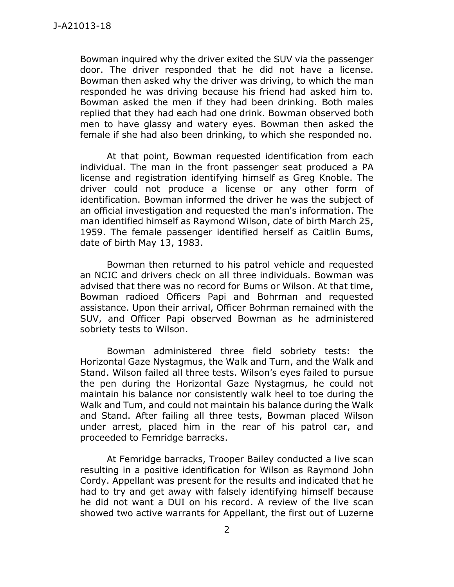Bowman inquired why the driver exited the SUV via the passenger door. The driver responded that he did not have a license. Bowman then asked why the driver was driving, to which the man responded he was driving because his friend had asked him to. Bowman asked the men if they had been drinking. Both males replied that they had each had one drink. Bowman observed both men to have glassy and watery eyes. Bowman then asked the female if she had also been drinking, to which she responded no.

At that point, Bowman requested identification from each individual. The man in the front passenger seat produced a PA license and registration identifying himself as Greg Knoble. The driver could not produce a license or any other form of identification. Bowman informed the driver he was the subject of an official investigation and requested the man's information. The man identified himself as Raymond Wilson, date of birth March 25, 1959. The female passenger identified herself as Caitlin Bums, date of birth May 13, 1983.

Bowman then returned to his patrol vehicle and requested an NCIC and drivers check on all three individuals. Bowman was advised that there was no record for Bums or Wilson. At that time, Bowman radioed Officers Papi and Bohrman and requested assistance. Upon their arrival, Officer Bohrman remained with the SUV, and Officer Papi observed Bowman as he administered sobriety tests to Wilson.

Bowman administered three field sobriety tests: the Horizontal Gaze Nystagmus, the Walk and Turn, and the Walk and Stand. Wilson failed all three tests. Wilson's eyes failed to pursue the pen during the Horizontal Gaze Nystagmus, he could not maintain his balance nor consistently walk heel to toe during the Walk and Tum, and could not maintain his balance during the Walk and Stand. After failing all three tests, Bowman placed Wilson under arrest, placed him in the rear of his patrol car, and proceeded to Femridge barracks.

At Femridge barracks, Trooper Bailey conducted a live scan resulting in a positive identification for Wilson as Raymond John Cordy. Appellant was present for the results and indicated that he had to try and get away with falsely identifying himself because he did not want a DUI on his record. A review of the live scan showed two active warrants for Appellant, the first out of Luzerne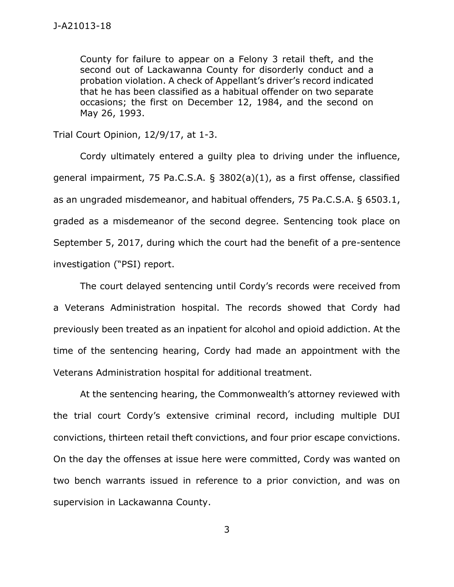County for failure to appear on a Felony 3 retail theft, and the second out of Lackawanna County for disorderly conduct and a probation violation. A check of Appellant's driver's record indicated that he has been classified as a habitual offender on two separate occasions; the first on December 12, 1984, and the second on May 26, 1993.

Trial Court Opinion, 12/9/17, at 1-3.

Cordy ultimately entered a guilty plea to driving under the influence, general impairment, 75 Pa.C.S.A. § 3802(a)(1), as a first offense, classified as an ungraded misdemeanor, and habitual offenders, 75 Pa.C.S.A. § 6503.1, graded as a misdemeanor of the second degree. Sentencing took place on September 5, 2017, during which the court had the benefit of a pre-sentence investigation ("PSI) report.

The court delayed sentencing until Cordy's records were received from a Veterans Administration hospital. The records showed that Cordy had previously been treated as an inpatient for alcohol and opioid addiction. At the time of the sentencing hearing, Cordy had made an appointment with the Veterans Administration hospital for additional treatment.

At the sentencing hearing, the Commonwealth's attorney reviewed with the trial court Cordy's extensive criminal record, including multiple DUI convictions, thirteen retail theft convictions, and four prior escape convictions. On the day the offenses at issue here were committed, Cordy was wanted on two bench warrants issued in reference to a prior conviction, and was on supervision in Lackawanna County.

3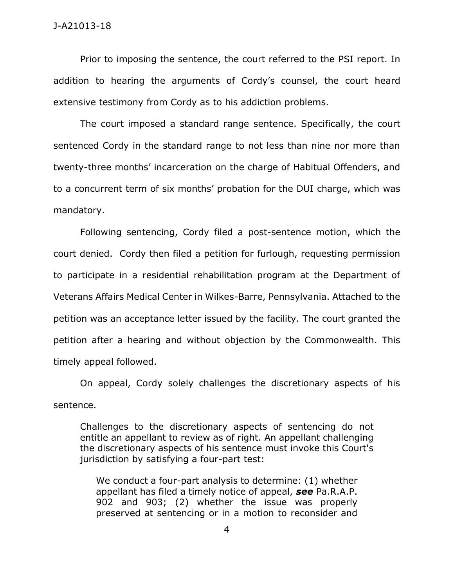Prior to imposing the sentence, the court referred to the PSI report. In addition to hearing the arguments of Cordy's counsel, the court heard extensive testimony from Cordy as to his addiction problems.

The court imposed a standard range sentence. Specifically, the court sentenced Cordy in the standard range to not less than nine nor more than twenty-three months' incarceration on the charge of Habitual Offenders, and to a concurrent term of six months' probation for the DUI charge, which was mandatory.

Following sentencing, Cordy filed a post-sentence motion, which the court denied. Cordy then filed a petition for furlough, requesting permission to participate in a residential rehabilitation program at the Department of Veterans Affairs Medical Center in Wilkes-Barre, Pennsylvania. Attached to the petition was an acceptance letter issued by the facility. The court granted the petition after a hearing and without objection by the Commonwealth. This timely appeal followed.

On appeal, Cordy solely challenges the discretionary aspects of his sentence.

Challenges to the discretionary aspects of sentencing do not entitle an appellant to review as of right. An appellant challenging the discretionary aspects of his sentence must invoke this Court's jurisdiction by satisfying a four-part test:

We conduct a four-part analysis to determine: (1) whether appellant has filed a timely notice of appeal, *see* Pa.R.A.P. 902 and 903; (2) whether the issue was properly preserved at sentencing or in a motion to reconsider and

4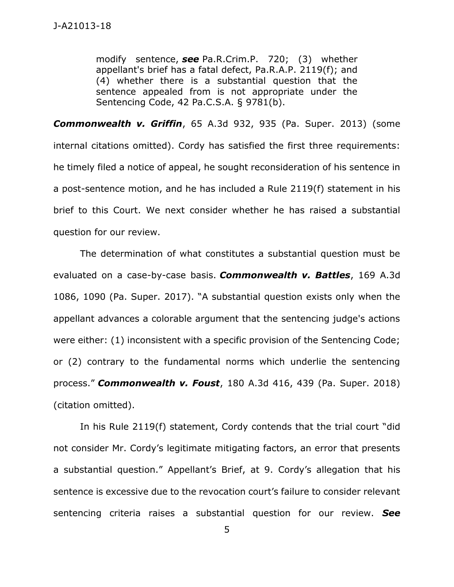modify sentence, *see* Pa.R.Crim.P. 720; (3) whether appellant's brief has a fatal defect, Pa.R.A.P. 2119(f); and (4) whether there is a substantial question that the sentence appealed from is not appropriate under the Sentencing Code, 42 Pa.C.S.A. § 9781(b).

*Commonwealth v. Griffin*, 65 A.3d 932, 935 (Pa. Super. 2013) (some internal citations omitted). Cordy has satisfied the first three requirements: he timely filed a notice of appeal, he sought reconsideration of his sentence in a post-sentence motion, and he has included a Rule 2119(f) statement in his brief to this Court. We next consider whether he has raised a substantial question for our review.

The determination of what constitutes a substantial question must be evaluated on a case-by-case basis. *Commonwealth v. Battles*, 169 A.3d 1086, 1090 (Pa. Super. 2017). "A substantial question exists only when the appellant advances a colorable argument that the sentencing judge's actions were either: (1) inconsistent with a specific provision of the Sentencing Code; or (2) contrary to the fundamental norms which underlie the sentencing process." *Commonwealth v. Foust*, 180 A.3d 416, 439 (Pa. Super. 2018) (citation omitted).

In his Rule 2119(f) statement, Cordy contends that the trial court "did not consider Mr. Cordy's legitimate mitigating factors, an error that presents a substantial question." Appellant's Brief, at 9. Cordy's allegation that his sentence is excessive due to the revocation court's failure to consider relevant sentencing criteria raises a substantial question for our review. *See*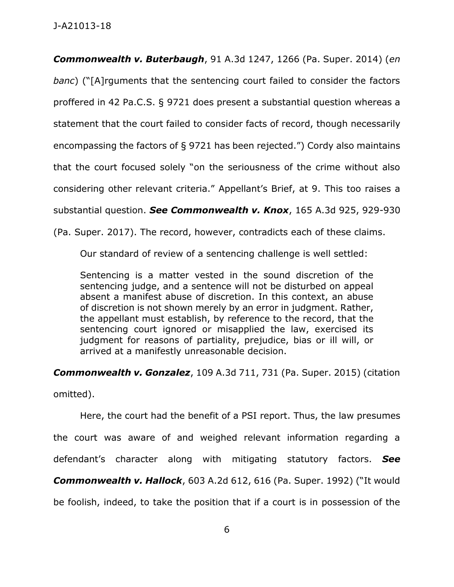*Commonwealth v. Buterbaugh*, 91 A.3d 1247, 1266 (Pa. Super. 2014) (*en banc*) ("[A]rguments that the sentencing court failed to consider the factors proffered in 42 Pa.C.S. § 9721 does present a substantial question whereas a statement that the court failed to consider facts of record, though necessarily encompassing the factors of § 9721 has been rejected.") Cordy also maintains that the court focused solely "on the seriousness of the crime without also considering other relevant criteria." Appellant's Brief, at 9. This too raises a substantial question. *See Commonwealth v. Knox*, 165 A.3d 925, 929-930 (Pa. Super. 2017). The record, however, contradicts each of these claims.

Our standard of review of a sentencing challenge is well settled:

Sentencing is a matter vested in the sound discretion of the sentencing judge, and a sentence will not be disturbed on appeal absent a manifest abuse of discretion. In this context, an abuse of discretion is not shown merely by an error in judgment. Rather, the appellant must establish, by reference to the record, that the sentencing court ignored or misapplied the law, exercised its judgment for reasons of partiality, prejudice, bias or ill will, or arrived at a manifestly unreasonable decision.

*Commonwealth v. Gonzalez*, 109 A.3d 711, 731 (Pa. Super. 2015) (citation

omitted).

Here, the court had the benefit of a PSI report. Thus, the law presumes the court was aware of and weighed relevant information regarding a defendant's character along with mitigating statutory factors. *See*

*Commonwealth v. Hallock*, 603 A.2d 612, 616 (Pa. Super. 1992) ("It would

be foolish, indeed, to take the position that if a court is in possession of the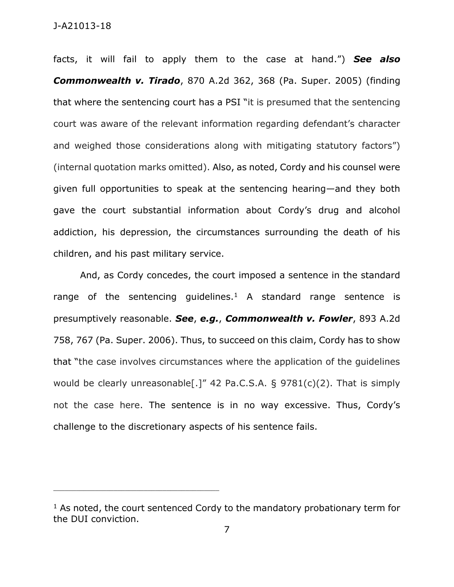## J-A21013-18

facts, it will fail to apply them to the case at hand.") *See also Commonwealth v. Tirado*, 870 A.2d 362, 368 (Pa. Super. 2005) (finding that where the sentencing court has a PSI "it is presumed that the sentencing court was aware of the relevant information regarding defendant's character and weighed those considerations along with mitigating statutory factors") (internal quotation marks omitted). Also, as noted, Cordy and his counsel were given full opportunities to speak at the sentencing hearing—and they both gave the court substantial information about Cordy's drug and alcohol addiction, his depression, the circumstances surrounding the death of his children, and his past military service.

And, as Cordy concedes, the court imposed a sentence in the standard range of the sentencing guidelines.<sup>1</sup> A standard range sentence is presumptively reasonable. *See*, *e.g.*, *Commonwealth v. Fowler*, 893 A.2d 758, 767 (Pa. Super. 2006). Thus, to succeed on this claim, Cordy has to show that "the case involves circumstances where the application of the guidelines would be clearly unreasonable[.]" 42 Pa.C.S.A. § 9781(c)(2). That is simply not the case here. The sentence is in no way excessive. Thus, Cordy's challenge to the discretionary aspects of his sentence fails.

\_\_\_\_\_\_\_\_\_\_\_\_\_\_\_\_\_\_\_\_\_\_\_\_\_\_\_\_\_\_\_\_\_\_\_\_\_\_\_\_\_\_\_\_

 $1$  As noted, the court sentenced Cordy to the mandatory probationary term for the DUI conviction.